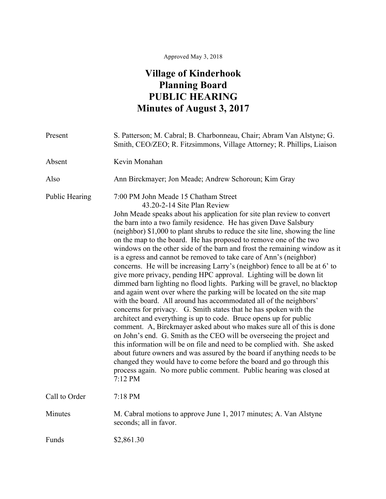## Approved May 3, 2018

## **Village of Kinderhook Planning Board PUBLIC HEARING Minutes of August 3, 2017**

| Present               | S. Patterson; M. Cabral; B. Charbonneau, Chair; Abram Van Alstyne; G.<br>Smith, CEO/ZEO; R. Fitzsimmons, Village Attorney; R. Phillips, Liaison                                                                                                                                                                                                                                                                                                                                                                                                                                                                                                                                                                                                                                                                                                                                                                                                                                                                                                                                                                                                                                                                                                                                                                                                                                                                                                                                                                           |
|-----------------------|---------------------------------------------------------------------------------------------------------------------------------------------------------------------------------------------------------------------------------------------------------------------------------------------------------------------------------------------------------------------------------------------------------------------------------------------------------------------------------------------------------------------------------------------------------------------------------------------------------------------------------------------------------------------------------------------------------------------------------------------------------------------------------------------------------------------------------------------------------------------------------------------------------------------------------------------------------------------------------------------------------------------------------------------------------------------------------------------------------------------------------------------------------------------------------------------------------------------------------------------------------------------------------------------------------------------------------------------------------------------------------------------------------------------------------------------------------------------------------------------------------------------------|
| Absent                | Kevin Monahan                                                                                                                                                                                                                                                                                                                                                                                                                                                                                                                                                                                                                                                                                                                                                                                                                                                                                                                                                                                                                                                                                                                                                                                                                                                                                                                                                                                                                                                                                                             |
| Also                  | Ann Birckmayer; Jon Meade; Andrew Schoroun; Kim Gray                                                                                                                                                                                                                                                                                                                                                                                                                                                                                                                                                                                                                                                                                                                                                                                                                                                                                                                                                                                                                                                                                                                                                                                                                                                                                                                                                                                                                                                                      |
| <b>Public Hearing</b> | 7:00 PM John Meade 15 Chatham Street<br>43.20-2-14 Site Plan Review<br>John Meade speaks about his application for site plan review to convert<br>the barn into a two family residence. He has given Dave Salsbury<br>(neighbor) \$1,000 to plant shrubs to reduce the site line, showing the line<br>on the map to the board. He has proposed to remove one of the two<br>windows on the other side of the barn and frost the remaining window as it<br>is a egress and cannot be removed to take care of Ann's (neighbor)<br>concerns. He will be increasing Larry's (neighbor) fence to all be at 6' to<br>give more privacy, pending HPC approval. Lighting will be down lit<br>dimmed barn lighting no flood lights. Parking will be gravel, no blacktop<br>and again went over where the parking will be located on the site map<br>with the board. All around has accommodated all of the neighbors'<br>concerns for privacy. G. Smith states that he has spoken with the<br>architect and everything is up to code. Bruce opens up for public<br>comment. A, Birckmayer asked about who makes sure all of this is done<br>on John's end. G. Smith as the CEO will be overseeing the project and<br>this information will be on file and need to be complied with. She asked<br>about future owners and was assured by the board if anything needs to be<br>changed they would have to come before the board and go through this<br>process again. No more public comment. Public hearing was closed at<br>7:12 PM |
| Call to Order         | 7:18 PM                                                                                                                                                                                                                                                                                                                                                                                                                                                                                                                                                                                                                                                                                                                                                                                                                                                                                                                                                                                                                                                                                                                                                                                                                                                                                                                                                                                                                                                                                                                   |
| Minutes               | M. Cabral motions to approve June 1, 2017 minutes; A. Van Alstyne<br>seconds; all in favor.                                                                                                                                                                                                                                                                                                                                                                                                                                                                                                                                                                                                                                                                                                                                                                                                                                                                                                                                                                                                                                                                                                                                                                                                                                                                                                                                                                                                                               |
| Funds                 | \$2,861.30                                                                                                                                                                                                                                                                                                                                                                                                                                                                                                                                                                                                                                                                                                                                                                                                                                                                                                                                                                                                                                                                                                                                                                                                                                                                                                                                                                                                                                                                                                                |